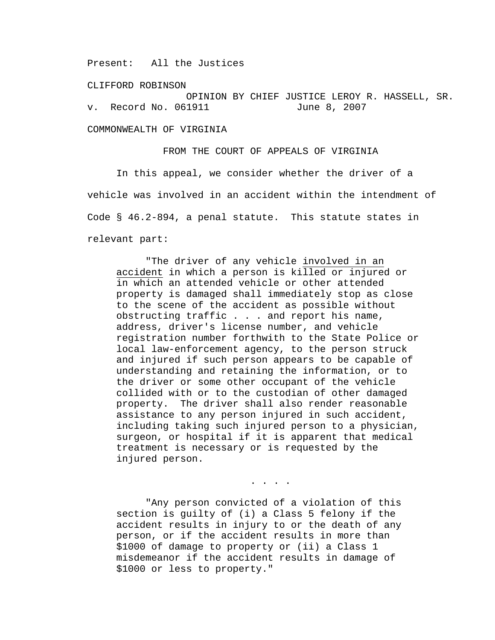Present: All the Justices

CLIFFORD ROBINSON

OPINION BY CHIEF JUSTICE LEROY R. HASSELL, SR.<br>1911 June 8, 2007 v. Record No. 061911

COMMONWEALTH OF VIRGINIA

FROM THE COURT OF APPEALS OF VIRGINIA

 In this appeal, we consider whether the driver of a vehicle was involved in an accident within the intendment of Code § 46.2-894, a penal statute. This statute states in relevant part:

 "The driver of any vehicle involved in an accident in which a person is killed or injured or in which an attended vehicle or other attended property is damaged shall immediately stop as close to the scene of the accident as possible without obstructing traffic . . . and report his name, address, driver's license number, and vehicle registration number forthwith to the State Police or local law-enforcement agency, to the person struck and injured if such person appears to be capable of understanding and retaining the information, or to the driver or some other occupant of the vehicle collided with or to the custodian of other damaged property. The driver shall also render reasonable assistance to any person injured in such accident, including taking such injured person to a physician, surgeon, or hospital if it is apparent that medical treatment is necessary or is requested by the injured person.

 "Any person convicted of a violation of this section is guilty of (i) a Class 5 felony if the accident results in injury to or the death of any person, or if the accident results in more than \$1000 of damage to property or (ii) a Class 1 misdemeanor if the accident results in damage of \$1000 or less to property."

. . . .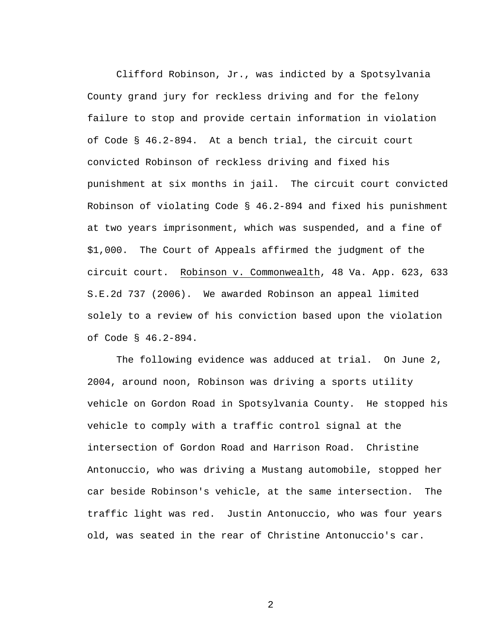Clifford Robinson, Jr., was indicted by a Spotsylvania County grand jury for reckless driving and for the felony failure to stop and provide certain information in violation of Code § 46.2-894. At a bench trial, the circuit court convicted Robinson of reckless driving and fixed his punishment at six months in jail. The circuit court convicted Robinson of violating Code § 46.2-894 and fixed his punishment at two years imprisonment, which was suspended, and a fine of \$1,000. The Court of Appeals affirmed the judgment of the circuit court. Robinson v. Commonwealth, 48 Va. App. 623, 633 S.E.2d 737 (2006). We awarded Robinson an appeal limited solely to a review of his conviction based upon the violation of Code § 46.2-894.

 The following evidence was adduced at trial. On June 2, 2004, around noon, Robinson was driving a sports utility vehicle on Gordon Road in Spotsylvania County. He stopped his vehicle to comply with a traffic control signal at the intersection of Gordon Road and Harrison Road. Christine Antonuccio, who was driving a Mustang automobile, stopped her car beside Robinson's vehicle, at the same intersection. The traffic light was red. Justin Antonuccio, who was four years old, was seated in the rear of Christine Antonuccio's car.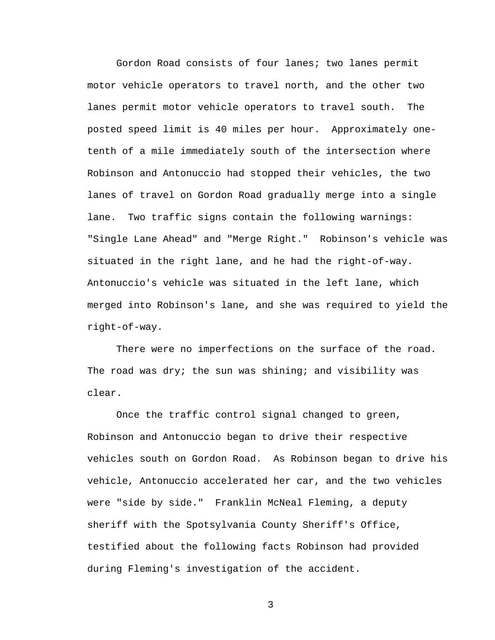Gordon Road consists of four lanes; two lanes permit motor vehicle operators to travel north, and the other two lanes permit motor vehicle operators to travel south. The posted speed limit is 40 miles per hour. Approximately onetenth of a mile immediately south of the intersection where Robinson and Antonuccio had stopped their vehicles, the two lanes of travel on Gordon Road gradually merge into a single lane. Two traffic signs contain the following warnings: "Single Lane Ahead" and "Merge Right." Robinson's vehicle was situated in the right lane, and he had the right-of-way. Antonuccio's vehicle was situated in the left lane, which merged into Robinson's lane, and she was required to yield the right-of-way.

There were no imperfections on the surface of the road. The road was dry; the sun was shining; and visibility was clear.

Once the traffic control signal changed to green, Robinson and Antonuccio began to drive their respective vehicles south on Gordon Road. As Robinson began to drive his vehicle, Antonuccio accelerated her car, and the two vehicles were "side by side." Franklin McNeal Fleming, a deputy sheriff with the Spotsylvania County Sheriff's Office, testified about the following facts Robinson had provided during Fleming's investigation of the accident.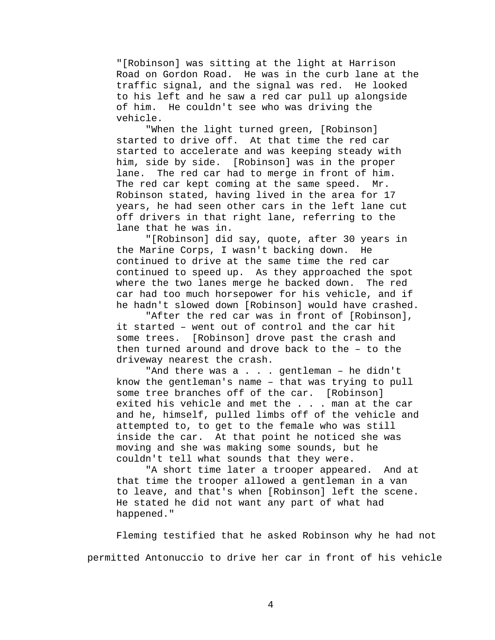"[Robinson] was sitting at the light at Harrison Road on Gordon Road. He was in the curb lane at the traffic signal, and the signal was red. He looked to his left and he saw a red car pull up alongside of him. He couldn't see who was driving the vehicle.

"When the light turned green, [Robinson] started to drive off. At that time the red car started to accelerate and was keeping steady with him, side by side. [Robinson] was in the proper lane. The red car had to merge in front of him. The red car kept coming at the same speed. Mr. Robinson stated, having lived in the area for 17 years, he had seen other cars in the left lane cut off drivers in that right lane, referring to the lane that he was in.

 "[Robinson] did say, quote, after 30 years in the Marine Corps, I wasn't backing down. He continued to drive at the same time the red car continued to speed up. As they approached the spot where the two lanes merge he backed down. The red car had too much horsepower for his vehicle, and if he hadn't slowed down [Robinson] would have crashed.

 "After the red car was in front of [Robinson], it started – went out of control and the car hit some trees. [Robinson] drove past the crash and then turned around and drove back to the – to the driveway nearest the crash.

"And there was a . . . gentleman - he didn't know the gentleman's name – that was trying to pull some tree branches off of the car. [Robinson] exited his vehicle and met the . . . man at the car and he, himself, pulled limbs off of the vehicle and attempted to, to get to the female who was still inside the car. At that point he noticed she was moving and she was making some sounds, but he couldn't tell what sounds that they were.

 "A short time later a trooper appeared. And at that time the trooper allowed a gentleman in a van to leave, and that's when [Robinson] left the scene. He stated he did not want any part of what had happened."

Fleming testified that he asked Robinson why he had not permitted Antonuccio to drive her car in front of his vehicle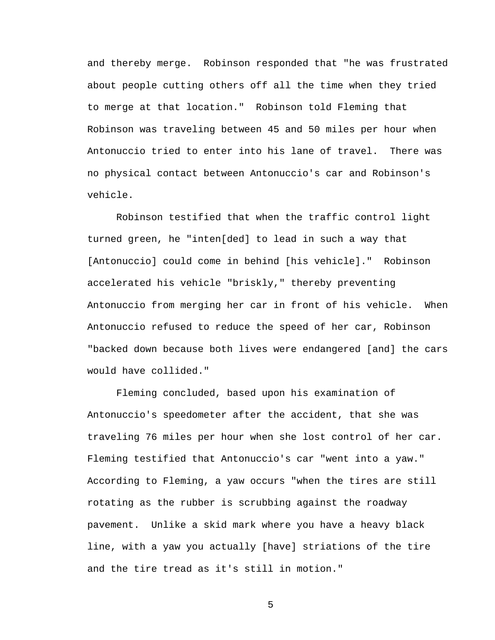and thereby merge. Robinson responded that "he was frustrated about people cutting others off all the time when they tried to merge at that location." Robinson told Fleming that Robinson was traveling between 45 and 50 miles per hour when Antonuccio tried to enter into his lane of travel. There was no physical contact between Antonuccio's car and Robinson's vehicle.

Robinson testified that when the traffic control light turned green, he "inten[ded] to lead in such a way that [Antonuccio] could come in behind [his vehicle]." Robinson accelerated his vehicle "briskly," thereby preventing Antonuccio from merging her car in front of his vehicle. When Antonuccio refused to reduce the speed of her car, Robinson "backed down because both lives were endangered [and] the cars would have collided."

 Fleming concluded, based upon his examination of Antonuccio's speedometer after the accident, that she was traveling 76 miles per hour when she lost control of her car. Fleming testified that Antonuccio's car "went into a yaw." According to Fleming, a yaw occurs "when the tires are still rotating as the rubber is scrubbing against the roadway pavement. Unlike a skid mark where you have a heavy black line, with a yaw you actually [have] striations of the tire and the tire tread as it's still in motion."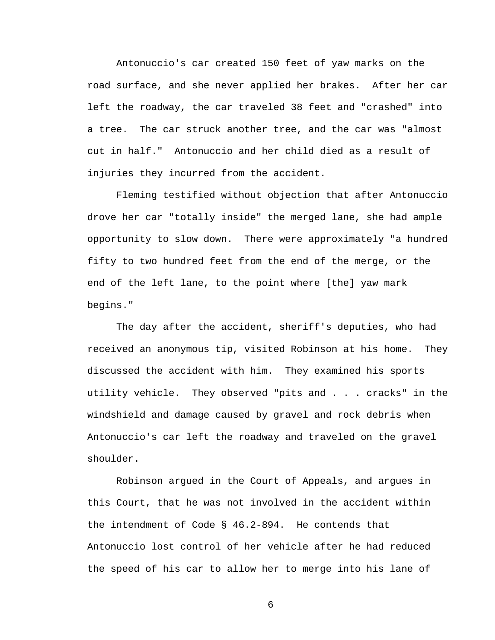Antonuccio's car created 150 feet of yaw marks on the road surface, and she never applied her brakes. After her car left the roadway, the car traveled 38 feet and "crashed" into a tree. The car struck another tree, and the car was "almost cut in half." Antonuccio and her child died as a result of injuries they incurred from the accident.

Fleming testified without objection that after Antonuccio drove her car "totally inside" the merged lane, she had ample opportunity to slow down. There were approximately "a hundred fifty to two hundred feet from the end of the merge, or the end of the left lane, to the point where [the] yaw mark begins."

The day after the accident, sheriff's deputies, who had received an anonymous tip, visited Robinson at his home. They discussed the accident with him. They examined his sports utility vehicle. They observed "pits and . . . cracks" in the windshield and damage caused by gravel and rock debris when Antonuccio's car left the roadway and traveled on the gravel shoulder.

 Robinson argued in the Court of Appeals, and argues in this Court, that he was not involved in the accident within the intendment of Code § 46.2-894. He contends that Antonuccio lost control of her vehicle after he had reduced the speed of his car to allow her to merge into his lane of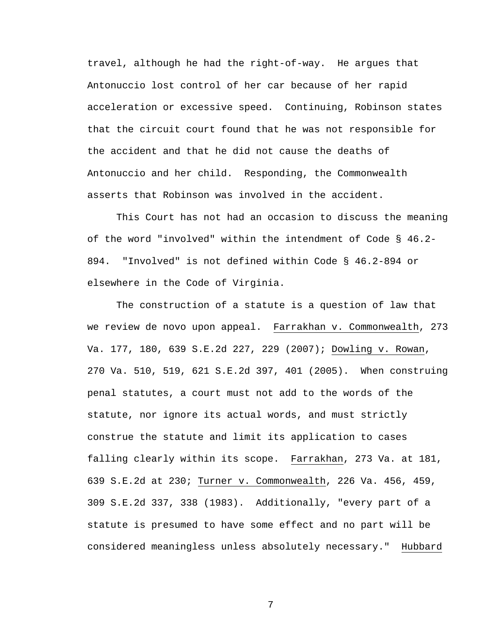travel, although he had the right-of-way. He argues that Antonuccio lost control of her car because of her rapid acceleration or excessive speed. Continuing, Robinson states that the circuit court found that he was not responsible for the accident and that he did not cause the deaths of Antonuccio and her child. Responding, the Commonwealth asserts that Robinson was involved in the accident.

 This Court has not had an occasion to discuss the meaning of the word "involved" within the intendment of Code § 46.2- 894. "Involved" is not defined within Code § 46.2-894 or elsewhere in the Code of Virginia.

The construction of a statute is a question of law that we review de novo upon appeal. Farrakhan v. Commonwealth, 273 Va. 177, 180, 639 S.E.2d 227, 229 (2007); Dowling v. Rowan, 270 Va. 510, 519, 621 S.E.2d 397, 401 (2005). When construing penal statutes, a court must not add to the words of the statute, nor ignore its actual words, and must strictly construe the statute and limit its application to cases falling clearly within its scope. Farrakhan, 273 Va. at 181, 639 S.E.2d at 230; Turner v. Commonwealth, 226 Va. 456, 459, 309 S.E.2d 337, 338 (1983). Additionally, "every part of a statute is presumed to have some effect and no part will be considered meaningless unless absolutely necessary." Hubbard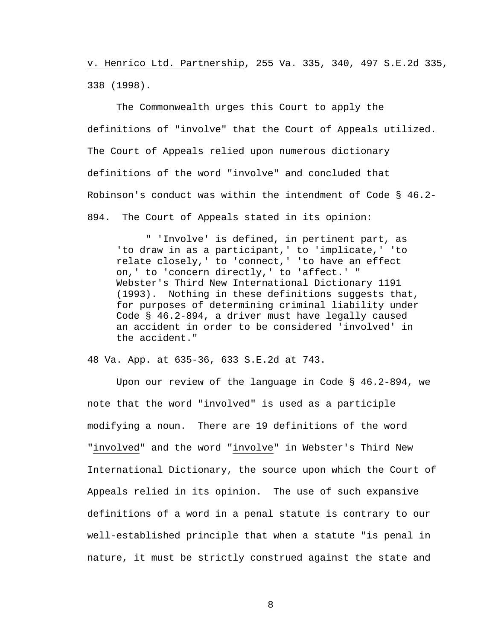v. Henrico Ltd. Partnership, 255 Va. 335, 340, 497 S.E.2d 335, 338 (1998).

 The Commonwealth urges this Court to apply the definitions of "involve" that the Court of Appeals utilized. The Court of Appeals relied upon numerous dictionary definitions of the word "involve" and concluded that Robinson's conduct was within the intendment of Code § 46.2- 894. The Court of Appeals stated in its opinion:

" 'Involve' is defined, in pertinent part, as 'to draw in as a participant,' to 'implicate,' 'to relate closely,' to 'connect,' 'to have an effect on,' to 'concern directly,' to 'affect.' " Webster's Third New International Dictionary 1191 (1993). Nothing in these definitions suggests that, for purposes of determining criminal liability under Code § 46.2-894, a driver must have legally caused an accident in order to be considered 'involved' in the accident."

48 Va. App. at 635-36, 633 S.E.2d at 743.

 Upon our review of the language in Code § 46.2-894, we note that the word "involved" is used as a participle modifying a noun. There are 19 definitions of the word "involved" and the word "involve" in Webster's Third New International Dictionary, the source upon which the Court of Appeals relied in its opinion. The use of such expansive definitions of a word in a penal statute is contrary to our well-established principle that when a statute "is penal in nature, it must be strictly construed against the state and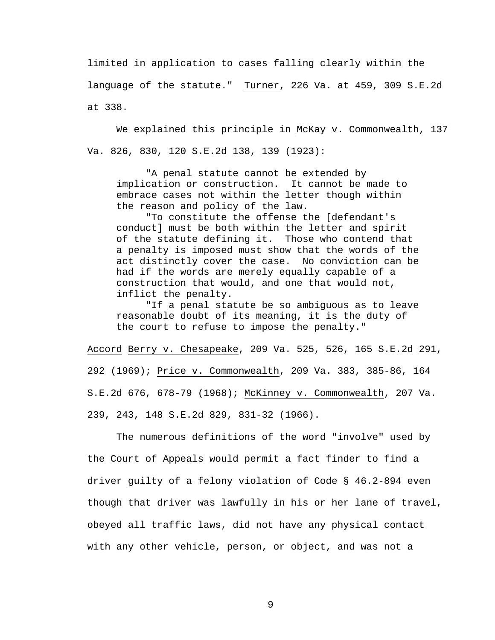limited in application to cases falling clearly within the language of the statute." Turner, 226 Va. at 459, 309 S.E.2d at 338.

 We explained this principle in McKay v. Commonwealth, 137 Va. 826, 830, 120 S.E.2d 138, 139 (1923):

 "A penal statute cannot be extended by implication or construction. It cannot be made to embrace cases not within the letter though within the reason and policy of the law.

 "To constitute the offense the [defendant's conduct] must be both within the letter and spirit of the statute defining it. Those who contend that a penalty is imposed must show that the words of the act distinctly cover the case. No conviction can be had if the words are merely equally capable of a construction that would, and one that would not, inflict the penalty.

 "If a penal statute be so ambiguous as to leave reasonable doubt of its meaning, it is the duty of the court to refuse to impose the penalty."

Accord Berry v. Chesapeake, 209 Va. 525, 526, 165 S.E.2d 291, 292 (1969); Price v. Commonwealth, 209 Va. 383, 385-86, 164 S.E.2d 676, 678-79 (1968); McKinney v. Commonwealth, 207 Va. 239, 243, 148 S.E.2d 829, 831-32 (1966).

The numerous definitions of the word "involve" used by the Court of Appeals would permit a fact finder to find a driver guilty of a felony violation of Code § 46.2-894 even though that driver was lawfully in his or her lane of travel, obeyed all traffic laws, did not have any physical contact with any other vehicle, person, or object, and was not a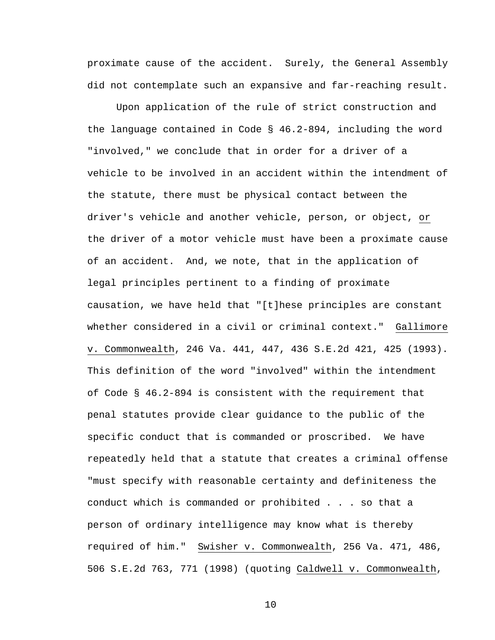proximate cause of the accident. Surely, the General Assembly did not contemplate such an expansive and far-reaching result.

 Upon application of the rule of strict construction and the language contained in Code § 46.2-894, including the word "involved," we conclude that in order for a driver of a vehicle to be involved in an accident within the intendment of the statute, there must be physical contact between the driver's vehicle and another vehicle, person, or object, or the driver of a motor vehicle must have been a proximate cause of an accident. And, we note, that in the application of legal principles pertinent to a finding of proximate causation, we have held that "[t]hese principles are constant whether considered in a civil or criminal context." Gallimore v. Commonwealth, 246 Va. 441, 447, 436 S.E.2d 421, 425 (1993). This definition of the word "involved" within the intendment of Code § 46.2-894 is consistent with the requirement that penal statutes provide clear guidance to the public of the specific conduct that is commanded or proscribed. We have repeatedly held that a statute that creates a criminal offense "must specify with reasonable certainty and definiteness the conduct which is commanded or prohibited . . . so that a person of ordinary intelligence may know what is thereby required of him." Swisher v. Commonwealth, 256 Va. 471, 486, 506 S.E.2d 763, 771 (1998) (quoting Caldwell v. Commonwealth,